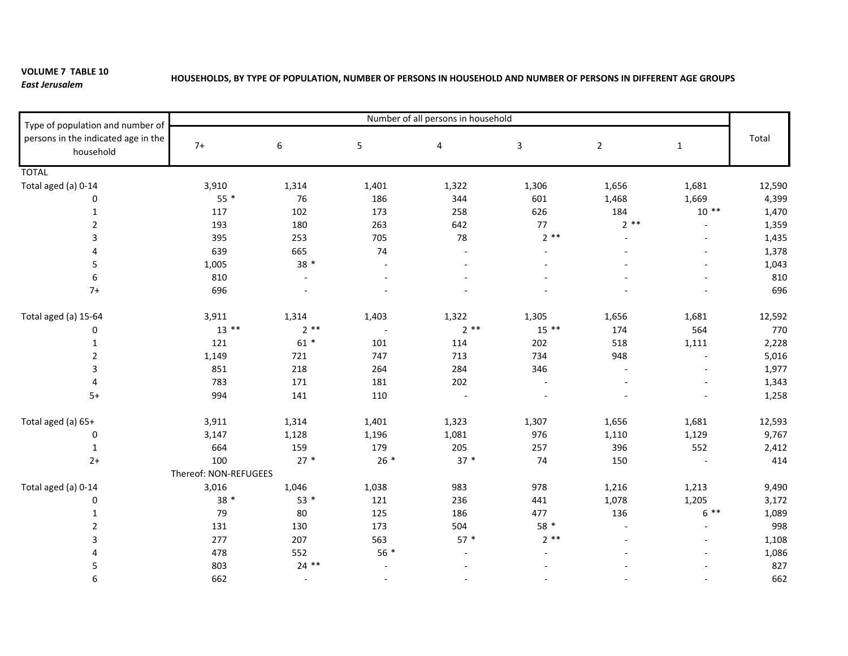## **VOLUME 7 TABLE 10** *East Jerusalem*

## HOUSEHOLDS, BY TYPE OF POPULATION, NUMBER OF PERSONS IN HOUSEHOLD AND NUMBER OF PERSONS IN DIFFERENT AGE GROUPS

| Type of population and number of<br>persons in the indicated age in the<br>household | Number of all persons in household |         |                |                          |              |                          |                          |        |
|--------------------------------------------------------------------------------------|------------------------------------|---------|----------------|--------------------------|--------------|--------------------------|--------------------------|--------|
|                                                                                      | $7+$                               | 6       | 5              | 4                        | $\mathbf{3}$ | $\overline{2}$           | $\mathbf{1}$             | Total  |
| <b>TOTAL</b>                                                                         |                                    |         |                |                          |              |                          |                          |        |
| Total aged (a) 0-14                                                                  | 3,910                              | 1,314   | 1,401          | 1,322                    | 1,306        | 1,656                    | 1,681                    | 12,590 |
| 0                                                                                    | $55*$                              | 76      | 186            | 344                      | 601          | 1,468                    | 1,669                    | 4,399  |
| $\mathbf{1}$                                                                         | 117                                | 102     | 173            | 258                      | 626          | 184                      | $10**$                   | 1,470  |
| $\overline{2}$                                                                       | 193                                | 180     | 263            | 642                      | 77           | $2**$                    | $\overline{\phantom{a}}$ | 1,359  |
| 3                                                                                    | 395                                | 253     | 705            | 78                       | $2**$        |                          |                          | 1,435  |
| 4                                                                                    | 639                                | 665     | 74             | $\overline{a}$           |              |                          |                          | 1,378  |
| 5                                                                                    | 1,005                              | 38 *    | $\overline{a}$ |                          |              |                          |                          | 1,043  |
| 6                                                                                    | 810                                |         |                |                          |              |                          |                          | 810    |
| $7+$                                                                                 | 696                                |         |                |                          |              |                          |                          | 696    |
| Total aged (a) 15-64                                                                 | 3,911                              | 1,314   | 1,403          | 1,322                    | 1,305        | 1,656                    | 1,681                    | 12,592 |
| 0                                                                                    | $13$ **                            | $2**$   | $\sim$         | $2**$                    | $15***$      | 174                      | 564                      | 770    |
| $\mathbf{1}$                                                                         | 121                                | $61 *$  | 101            | 114                      | 202          | 518                      | 1,111                    | 2,228  |
| $\overline{2}$                                                                       | 1,149                              | 721     | 747            | 713                      | 734          | 948                      | $\sim$                   | 5,016  |
| 3                                                                                    | 851                                | 218     | 264            | 284                      | 346          | $\overline{\phantom{a}}$ |                          | 1,977  |
| 4                                                                                    | 783                                | 171     | 181            | 202                      |              |                          |                          | 1,343  |
| $5+$                                                                                 | 994                                | 141     | 110            |                          |              |                          |                          | 1,258  |
| Total aged (a) 65+                                                                   | 3,911                              | 1,314   | 1,401          | 1,323                    | 1,307        | 1,656                    | 1,681                    | 12,593 |
| 0                                                                                    | 3,147                              | 1,128   | 1,196          | 1,081                    | 976          | 1,110                    | 1,129                    | 9,767  |
| 1                                                                                    | 664                                | 159     | 179            | 205                      | 257          | 396                      | 552                      | 2,412  |
| $2+$                                                                                 | 100                                | $27*$   | $26*$          | $37 *$                   | 74           | 150                      |                          | 414    |
|                                                                                      | Thereof: NON-REFUGEES              |         |                |                          |              |                          |                          |        |
| Total aged (a) 0-14                                                                  | 3,016                              | 1,046   | 1,038          | 983                      | 978          | 1,216                    | 1,213                    | 9,490  |
| 0                                                                                    | 38 *                               | $53*$   | 121            | 236                      | 441          | 1,078                    | 1,205                    | 3,172  |
| 1                                                                                    | 79                                 | 80      | 125            | 186                      | 477          | 136                      | $6***$                   | 1,089  |
| $\overline{2}$                                                                       | 131                                | 130     | 173            | 504                      | 58 *         |                          |                          | 998    |
| 3                                                                                    | 277                                | 207     | 563            | $57*$                    | $2**$        |                          |                          | 1,108  |
|                                                                                      | 478                                | 552     | $56*$          |                          |              |                          |                          | 1,086  |
| 5                                                                                    | 803                                | $24$ ** |                |                          |              |                          |                          | 827    |
| 6                                                                                    | 662                                | $\sim$  | $\blacksquare$ | $\overline{\phantom{a}}$ |              |                          |                          | 662    |